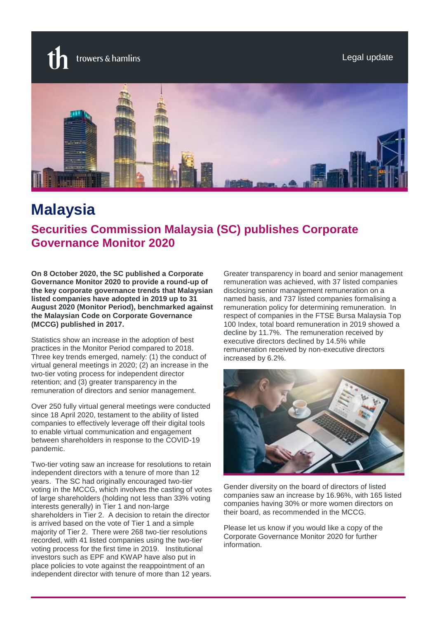trowers & hamlins

Legal update



# **Malaysia**

## **Securities Commission Malaysia (SC) publishes Corporate Governance Monitor 2020**

**On 8 October 2020, the SC published a Corporate Governance Monitor 2020 to provide a round-up of the key corporate governance trends that Malaysian listed companies have adopted in 2019 up to 31 August 2020 (Monitor Period), benchmarked against the Malaysian Code on Corporate Governance (MCCG) published in 2017.** 

Statistics show an increase in the adoption of best practices in the Monitor Period compared to 2018. Three key trends emerged, namely: (1) the conduct of virtual general meetings in 2020; (2) an increase in the two-tier voting process for independent director retention; and (3) greater transparency in the remuneration of directors and senior management.

Over 250 fully virtual general meetings were conducted since 18 April 2020, testament to the ability of listed companies to effectively leverage off their digital tools to enable virtual communication and engagement between shareholders in response to the COVID-19 pandemic.

Two-tier voting saw an increase for resolutions to retain independent directors with a tenure of more than 12 years. The SC had originally encouraged two-tier voting in the MCCG, which involves the casting of votes of large shareholders (holding not less than 33% voting interests generally) in Tier 1 and non-large shareholders in Tier 2. A decision to retain the director is arrived based on the vote of Tier 1 and a simple majority of Tier 2. There were 268 two-tier resolutions recorded, with 41 listed companies using the two-tier voting process for the first time in 2019. Institutional investors such as EPF and KWAP have also put in place policies to vote against the reappointment of an independent director with tenure of more than 12 years.

Greater transparency in board and senior management remuneration was achieved, with 37 listed companies disclosing senior management remuneration on a named basis, and 737 listed companies formalising a remuneration policy for determining remuneration. In respect of companies in the FTSE Bursa Malaysia Top 100 Index, total board remuneration in 2019 showed a decline by 11.7%. The remuneration received by executive directors declined by 14.5% while remuneration received by non-executive directors increased by 6.2%.



Gender diversity on the board of directors of listed companies saw an increase by 16.96%, with 165 listed companies having 30% or more women directors on their board, as recommended in the MCCG.

Please let us know if you would like a copy of the Corporate Governance Monitor 2020 for further information.